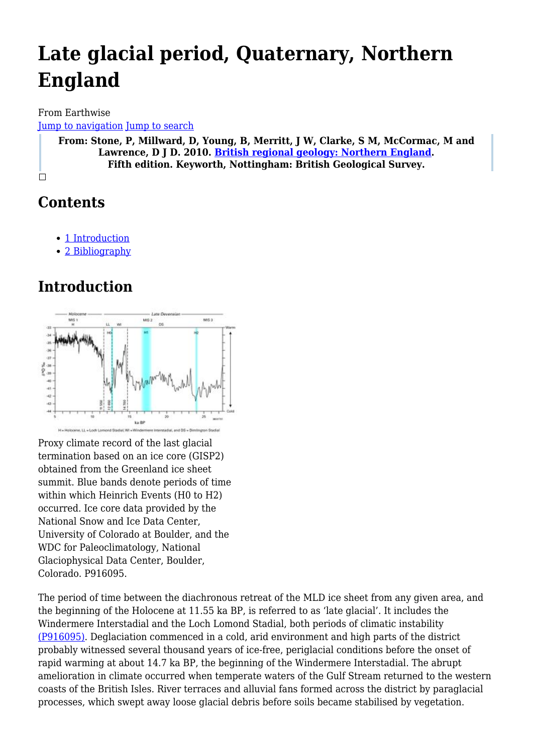# **Late glacial period, Quaternary, Northern England**

From Earthwise [Jump to navigation](#page--1-0) [Jump to search](#page--1-0)

**From: Stone, P, Millward, D, Young, B, Merritt, J W, Clarke, S M, McCormac, M and Lawrence, D J D. 2010. [British regional geology: Northern England.](http://earthwise.bgs.ac.uk/index.php/British_regional_geology:_Northern_England) Fifth edition. Keyworth, Nottingham: British Geological Survey.**

 $\Box$ 

## **Contents**

- [1](#page--1-0) [Introduction](#page--1-0)
- [2](#page--1-0) [Bibliography](#page--1-0)

### **Introduction**



Proxy climate record of the last glacial termination based on an ice core (GISP2) obtained from the Greenland ice sheet summit. Blue bands denote periods of time within which Heinrich Events (H0 to H2) occurred. Ice core data provided by the National Snow and Ice Data Center, University of Colorado at Boulder, and the WDC for Paleoclimatology, National Glaciophysical Data Center, Boulder, Colorado. P916095.

The period of time between the diachronous retreat of the MLD ice sheet from any given area, and the beginning of the Holocene at 11.55 ka BP, is referred to as 'late glacial'. It includes the Windermere Interstadial and the Loch Lomond Stadial, both periods of climatic instability [\(P916095\).](http://earthwise.bgs.ac.uk/images/c/ca/P916095.jpg) Deglaciation commenced in a cold, arid environment and high parts of the district probably witnessed several thousand years of ice-free, periglacial conditions before the onset of rapid warming at about 14.7 ka BP, the beginning of the Windermere Interstadial. The abrupt amelioration in climate occurred when temperate waters of the Gulf Stream returned to the western coasts of the British Isles. River terraces and alluvial fans formed across the district by paraglacial processes, which swept away loose glacial debris before soils became stabilised by vegetation.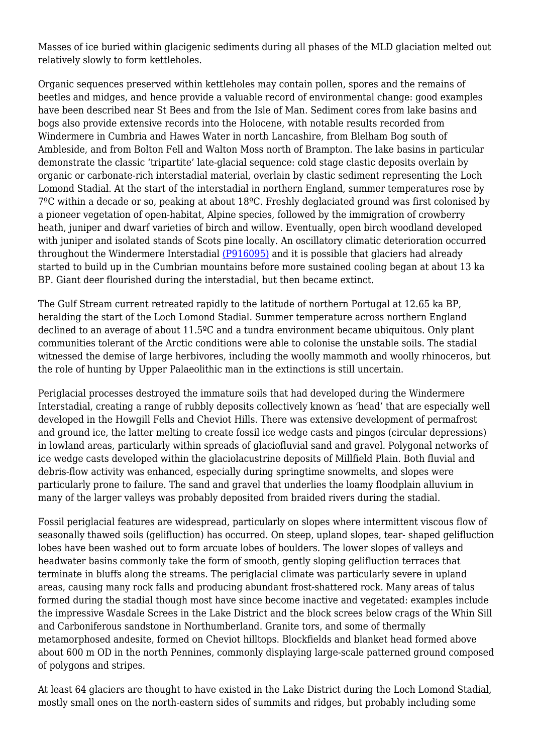Masses of ice buried within glacigenic sediments during all phases of the MLD glaciation melted out relatively slowly to form kettleholes.

Organic sequences preserved within kettleholes may contain pollen, spores and the remains of beetles and midges, and hence provide a valuable record of environmental change: good examples have been described near St Bees and from the Isle of Man. Sediment cores from lake basins and bogs also provide extensive records into the Holocene, with notable results recorded from Windermere in Cumbria and Hawes Water in north Lancashire, from Blelham Bog south of Ambleside, and from Bolton Fell and Walton Moss north of Brampton. The lake basins in particular demonstrate the classic 'tripartite' late-glacial sequence: cold stage clastic deposits overlain by organic or carbonate-rich interstadial material, overlain by clastic sediment representing the Loch Lomond Stadial. At the start of the interstadial in northern England, summer temperatures rose by 7ºC within a decade or so, peaking at about 18ºC. Freshly deglaciated ground was first colonised by a pioneer vegetation of open-habitat, Alpine species, followed by the immigration of crowberry heath, juniper and dwarf varieties of birch and willow. Eventually, open birch woodland developed with juniper and isolated stands of Scots pine locally. An oscillatory climatic deterioration occurred throughout the Windermere Interstadial [\(P916095\)](http://earthwise.bgs.ac.uk/images/c/ca/P916095.jpg) and it is possible that glaciers had already started to build up in the Cumbrian mountains before more sustained cooling began at about 13 ka BP. Giant deer flourished during the interstadial, but then became extinct.

The Gulf Stream current retreated rapidly to the latitude of northern Portugal at 12.65 ka BP, heralding the start of the Loch Lomond Stadial. Summer temperature across northern England declined to an average of about 11.5ºC and a tundra environment became ubiquitous. Only plant communities tolerant of the Arctic conditions were able to colonise the unstable soils. The stadial witnessed the demise of large herbivores, including the woolly mammoth and woolly rhinoceros, but the role of hunting by Upper Palaeolithic man in the extinctions is still uncertain.

Periglacial processes destroyed the immature soils that had developed during the Windermere Interstadial, creating a range of rubbly deposits collectively known as 'head' that are especially well developed in the Howgill Fells and Cheviot Hills. There was extensive development of permafrost and ground ice, the latter melting to create fossil ice wedge casts and pingos (circular depressions) in lowland areas, particularly within spreads of glaciofluvial sand and gravel. Polygonal networks of ice wedge casts developed within the glaciolacustrine deposits of Millfield Plain. Both fluvial and debris-flow activity was enhanced, especially during springtime snowmelts, and slopes were particularly prone to failure. The sand and gravel that underlies the loamy floodplain alluvium in many of the larger valleys was probably deposited from braided rivers during the stadial.

Fossil periglacial features are widespread, particularly on slopes where intermittent viscous flow of seasonally thawed soils (gelifluction) has occurred. On steep, upland slopes, tear- shaped gelifluction lobes have been washed out to form arcuate lobes of boulders. The lower slopes of valleys and headwater basins commonly take the form of smooth, gently sloping gelifluction terraces that terminate in bluffs along the streams. The periglacial climate was particularly severe in upland areas, causing many rock falls and producing abundant frost-shattered rock. Many areas of talus formed during the stadial though most have since become inactive and vegetated: examples include the impressive Wasdale Screes in the Lake District and the block screes below crags of the Whin Sill and Carboniferous sandstone in Northumberland. Granite tors, and some of thermally metamorphosed andesite, formed on Cheviot hilltops. Blockfields and blanket head formed above about 600 m OD in the north Pennines, commonly displaying large-scale patterned ground composed of polygons and stripes.

At least 64 glaciers are thought to have existed in the Lake District during the Loch Lomond Stadial, mostly small ones on the north-eastern sides of summits and ridges, but probably including some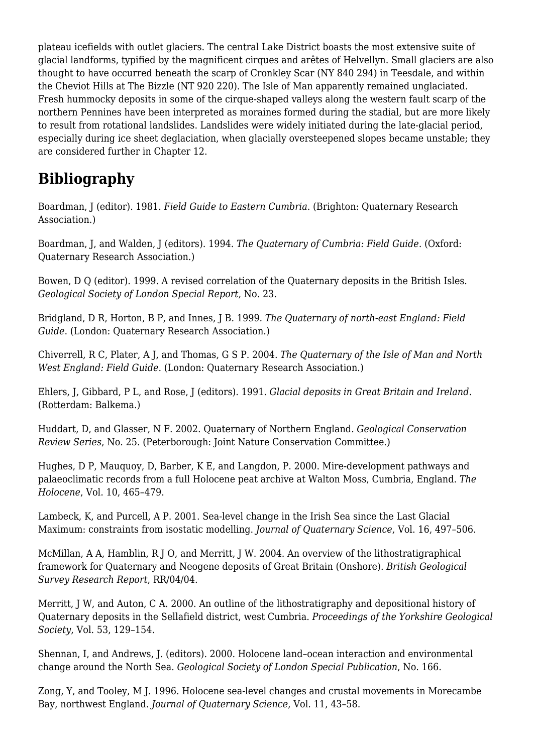plateau icefields with outlet glaciers. The central Lake District boasts the most extensive suite of glacial landforms, typified by the magnificent cirques and arêtes of Helvellyn. Small glaciers are also thought to have occurred beneath the scarp of Cronkley Scar (NY 840 294) in Teesdale, and within the Cheviot Hills at The Bizzle (NT 920 220). The Isle of Man apparently remained unglaciated. Fresh hummocky deposits in some of the cirque-shaped valleys along the western fault scarp of the northern Pennines have been interpreted as moraines formed during the stadial, but are more likely to result from rotational landslides. Landslides were widely initiated during the late-glacial period, especially during ice sheet deglaciation, when glacially oversteepened slopes became unstable; they are considered further in Chapter 12.

### **Bibliography**

Boardman, J (editor). 1981. *Field Guide to Eastern Cumbria*. (Brighton: Quaternary Research Association.)

Boardman, J, and Walden, J (editors). 1994. *The Quaternary of Cumbria: Field Guide*. (Oxford: Quaternary Research Association.)

Bowen, D Q (editor). 1999. A revised correlation of the Quaternary deposits in the British Isles. *Geological Society of London Special Report*, No. 23.

Bridgland, D R, Horton, B P, and Innes, J B. 1999. *The Quaternary of north-east England: Field Guide*. (London: Quaternary Research Association.)

Chiverrell, R C, Plater, A J, and Thomas, G S P. 2004. *The Quaternary of the Isle of Man and North West England: Field Guide*. (London: Quaternary Research Association.)

Ehlers, J, Gibbard, P L, and Rose, J (editors). 1991. *Glacial deposits in Great Britain and Ireland*. (Rotterdam: Balkema.)

Huddart, D, and Glasser, N F. 2002. Quaternary of Northern England. *Geological Conservation Review Series*, No. 25. (Peterborough: Joint Nature Conservation Committee.)

Hughes, D P, Mauquoy, D, Barber, K E, and Langdon, P. 2000. Mire-development pathways and palaeoclimatic records from a full Holocene peat archive at Walton Moss, Cumbria, England. *The Holocene*, Vol. 10, 465–479.

Lambeck, K, and Purcell, A P. 2001. Sea-level change in the Irish Sea since the Last Glacial Maximum: constraints from isostatic modelling. *Journal of Quaternary Science*, Vol. 16, 497–506.

McMillan, A A, Hamblin, R J O, and Merritt, J W. 2004. An overview of the lithostratigraphical framework for Quaternary and Neogene deposits of Great Britain (Onshore). *British Geological Survey Research Report*, RR/04/04.

Merritt, J W, and Auton, C A. 2000. An outline of the lithostratigraphy and depositional history of Quaternary deposits in the Sellafield district, west Cumbria. *Proceedings of the Yorkshire Geological Society*, Vol. 53, 129–154.

Shennan, I, and Andrews, J. (editors). 2000. Holocene land–ocean interaction and environmental change around the North Sea. *Geological Society of London Special Publication*, No. 166.

Zong, Y, and Tooley, M J. 1996. Holocene sea-level changes and crustal movements in Morecambe Bay, northwest England. *Journal of Quaternary Science*, Vol. 11, 43–58.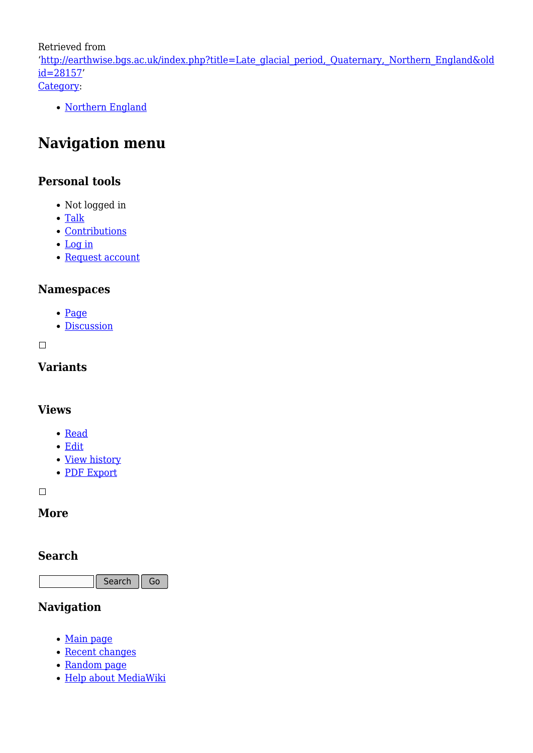Retrieved from

'[http://earthwise.bgs.ac.uk/index.php?title=Late\\_glacial\\_period,\\_Quaternary,\\_Northern\\_England&old](http://earthwise.bgs.ac.uk/index.php?title=Late_glacial_period,_Quaternary,_Northern_England&oldid=28157) [id=28157'](http://earthwise.bgs.ac.uk/index.php?title=Late_glacial_period,_Quaternary,_Northern_England&oldid=28157) [Category](http://earthwise.bgs.ac.uk/index.php/Special:Categories):

• [Northern England](http://earthwise.bgs.ac.uk/index.php/Category:Northern_England)

### **Navigation menu**

#### **Personal tools**

- Not logged in
- [Talk](http://earthwise.bgs.ac.uk/index.php/Special:MyTalk)
- [Contributions](http://earthwise.bgs.ac.uk/index.php/Special:MyContributions)
- [Log in](http://earthwise.bgs.ac.uk/index.php?title=Special:UserLogin&returnto=Late+glacial+period%2C+Quaternary%2C+Northern+England&returntoquery=action%3Dmpdf)
- [Request account](http://earthwise.bgs.ac.uk/index.php/Special:RequestAccount)

#### **Namespaces**

- [Page](http://earthwise.bgs.ac.uk/index.php/Late_glacial_period,_Quaternary,_Northern_England)
- [Discussion](http://earthwise.bgs.ac.uk/index.php?title=Talk:Late_glacial_period,_Quaternary,_Northern_England&action=edit&redlink=1)

 $\overline{\phantom{a}}$ 

#### **Variants**

#### **Views**

- [Read](http://earthwise.bgs.ac.uk/index.php/Late_glacial_period,_Quaternary,_Northern_England)
- [Edit](http://earthwise.bgs.ac.uk/index.php?title=Late_glacial_period,_Quaternary,_Northern_England&action=edit)
- [View history](http://earthwise.bgs.ac.uk/index.php?title=Late_glacial_period,_Quaternary,_Northern_England&action=history)
- [PDF Export](http://earthwise.bgs.ac.uk/index.php?title=Late_glacial_period,_Quaternary,_Northern_England&action=mpdf)

 $\Box$ 

#### **More**

#### **Search**

Search  $\parallel$  Go

#### **Navigation**

- [Main page](http://earthwise.bgs.ac.uk/index.php/Main_Page)
- [Recent changes](http://earthwise.bgs.ac.uk/index.php/Special:RecentChanges)
- [Random page](http://earthwise.bgs.ac.uk/index.php/Special:Random)
- [Help about MediaWiki](https://www.mediawiki.org/wiki/Special:MyLanguage/Help:Contents)